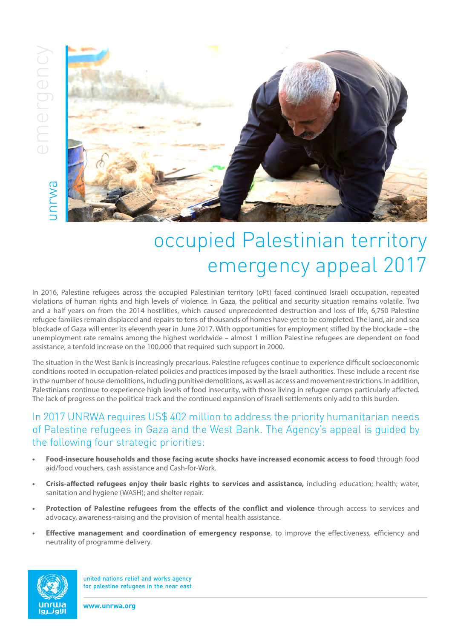

## occupied Palestinian territory emergency appeal 2017

In 2016, Palestine refugees across the occupied Palestinian territory (oPt) faced continued Israeli occupation, repeated violations of human rights and high levels of violence. In Gaza, the political and security situation remains volatile. Two and a half years on from the 2014 hostilities, which caused unprecedented destruction and loss of life, 6,750 Palestine refugee families remain displaced and repairs to tens of thousands of homes have yet to be completed. The land, air and sea blockade of Gaza will enter its eleventh year in June 2017. With opportunities for employment stifled by the blockade – the unemployment rate remains among the highest worldwide – almost 1 million Palestine refugees are dependent on food assistance, a tenfold increase on the 100,000 that required such support in 2000.

The situation in the West Bank is increasingly precarious. Palestine refugees continue to experience difficult socioeconomic conditions rooted in occupation-related policies and practices imposed by the Israeli authorities. These include a recent rise in the number of house demolitions, including punitive demolitions, as well as access and movement restrictions. In addition, Palestinians continue to experience high levels of food insecurity, with those living in refugee camps particularly affected. The lack of progress on the political track and the continued expansion of Israeli settlements only add to this burden.

## In 2017 UNRWA requires US\$ 402 million to address the priority humanitarian needs of Palestine refugees in Gaza and the West Bank. The Agency's appeal is guided by the following four strategic priorities:

- **• Food-insecure households and those facing acute shocks have increased economic access to food** through food aid/food vouchers, cash assistance and Cash-for-Work.
- **• Crisis-affected refugees enjoy their basic rights to services and assistance,** including education; health; water, sanitation and hygiene (WASH); and shelter repair.
- **• Protection of Palestine refugees from the effects of the conflict and violence** through access to services and advocacy, awareness-raising and the provision of mental health assistance.
- **• Effective management and coordination of emergency response**, to improve the effectiveness, efficiency and neutrality of programme delivery.



united nations relief and works agency for palestine refugees in the near east

**www.unrwa.org**